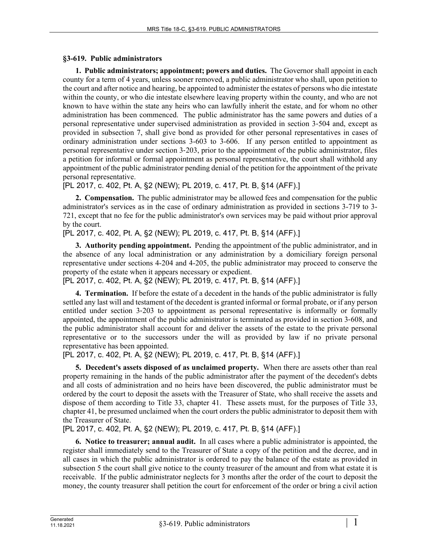## **§3-619. Public administrators**

**1. Public administrators; appointment; powers and duties.** The Governor shall appoint in each county for a term of 4 years, unless sooner removed, a public administrator who shall, upon petition to the court and after notice and hearing, be appointed to administer the estates of persons who die intestate within the county, or who die intestate elsewhere leaving property within the county, and who are not known to have within the state any heirs who can lawfully inherit the estate, and for whom no other administration has been commenced. The public administrator has the same powers and duties of a personal representative under supervised administration as provided in section 3‑504 and, except as provided in subsection 7, shall give bond as provided for other personal representatives in cases of ordinary administration under sections 3-603 to 3-606. If any person entitled to appointment as personal representative under section 3‑203, prior to the appointment of the public administrator, files a petition for informal or formal appointment as personal representative, the court shall withhold any appointment of the public administrator pending denial of the petition for the appointment of the private personal representative.

[PL 2017, c. 402, Pt. A, §2 (NEW); PL 2019, c. 417, Pt. B, §14 (AFF).]

**2. Compensation.** The public administrator may be allowed fees and compensation for the public administrator's services as in the case of ordinary administration as provided in sections 3-719 to 3- 721, except that no fee for the public administrator's own services may be paid without prior approval by the court.

[PL 2017, c. 402, Pt. A, §2 (NEW); PL 2019, c. 417, Pt. B, §14 (AFF).]

**3. Authority pending appointment.** Pending the appointment of the public administrator, and in the absence of any local administration or any administration by a domiciliary foreign personal representative under sections 4-204 and 4-205, the public administrator may proceed to conserve the property of the estate when it appears necessary or expedient.

[PL 2017, c. 402, Pt. A, §2 (NEW); PL 2019, c. 417, Pt. B, §14 (AFF).]

**4. Termination.** If before the estate of a decedent in the hands of the public administrator is fully settled any last will and testament of the decedent is granted informal or formal probate, or if any person entitled under section 3-203 to appointment as personal representative is informally or formally appointed, the appointment of the public administrator is terminated as provided in section 3‑608, and the public administrator shall account for and deliver the assets of the estate to the private personal representative or to the successors under the will as provided by law if no private personal representative has been appointed.

[PL 2017, c. 402, Pt. A, §2 (NEW); PL 2019, c. 417, Pt. B, §14 (AFF).]

**5. Decedent's assets disposed of as unclaimed property.** When there are assets other than real property remaining in the hands of the public administrator after the payment of the decedent's debts and all costs of administration and no heirs have been discovered, the public administrator must be ordered by the court to deposit the assets with the Treasurer of State, who shall receive the assets and dispose of them according to Title 33, chapter 41. These assets must, for the purposes of Title 33, chapter 41, be presumed unclaimed when the court orders the public administrator to deposit them with the Treasurer of State.

[PL 2017, c. 402, Pt. A, §2 (NEW); PL 2019, c. 417, Pt. B, §14 (AFF).]

**6. Notice to treasurer; annual audit.** In all cases where a public administrator is appointed, the register shall immediately send to the Treasurer of State a copy of the petition and the decree, and in all cases in which the public administrator is ordered to pay the balance of the estate as provided in subsection 5 the court shall give notice to the county treasurer of the amount and from what estate it is receivable. If the public administrator neglects for 3 months after the order of the court to deposit the money, the county treasurer shall petition the court for enforcement of the order or bring a civil action